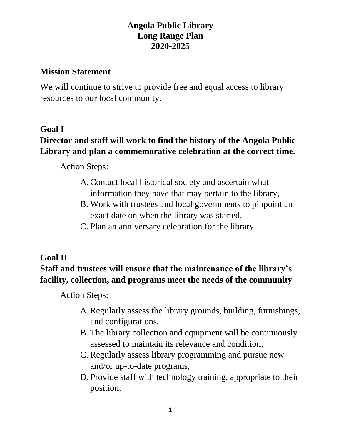### **Angola Public Library Long Range Plan 2020-2025**

#### **Mission Statement**

We will continue to strive to provide free and equal access to library resources to our local community.

### **Goal I**

# **Director and staff will work to find the history of the Angola Public Library and plan a commemorative celebration at the correct time.**

Action Steps:

- A.Contact local historical society and ascertain what information they have that may pertain to the library,
- B. Work with trustees and local governments to pinpoint an exact date on when the library was started,
- C. Plan an anniversary celebration for the library.

### **Goal II**

## **Staff and trustees will ensure that the maintenance of the library's facility, collection, and programs meet the needs of the community**

Action Steps:

- A.Regularly assess the library grounds, building, furnishings, and configurations,
- B. The library collection and equipment will be continuously assessed to maintain its relevance and condition,
- C. Regularly assess library programming and pursue new and/or up-to-date programs,
- D. Provide staff with technology training, appropriate to their position.